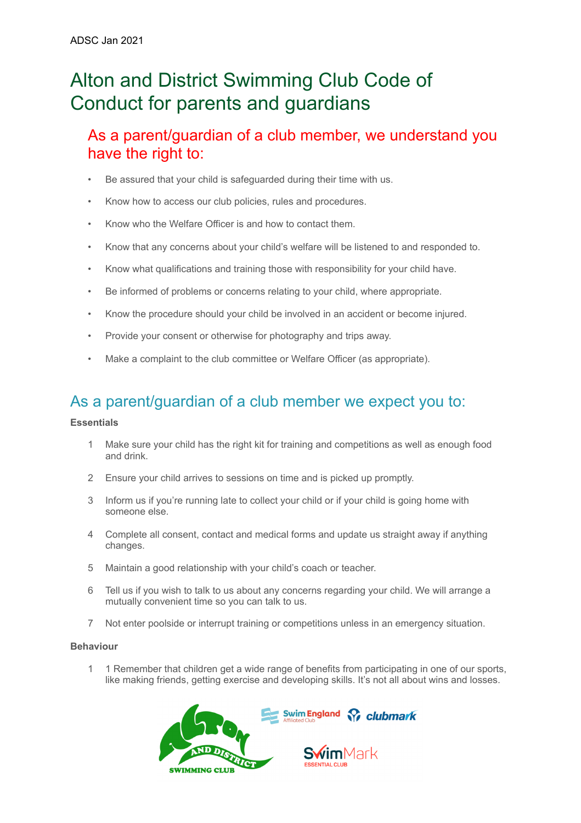# Alton and District Swimming Club Code of Conduct for parents and guardians

### As a parent/guardian of a club member, we understand you have the right to:

- Be assured that your child is safeguarded during their time with us.
- Know how to access our club policies, rules and procedures.
- Know who the Welfare Officer is and how to contact them.
- Know that any concerns about your child's welfare will be listened to and responded to.
- Know what qualifications and training those with responsibility for your child have.
- Be informed of problems or concerns relating to your child, where appropriate.
- Know the procedure should your child be involved in an accident or become injured.
- Provide your consent or otherwise for photography and trips away.
- Make a complaint to the club committee or Welfare Officer (as appropriate).

## As a parent/guardian of a club member we expect you to:

### **Essentials**

- 1 Make sure your child has the right kit for training and competitions as well as enough food and drink.
- 2 Ensure your child arrives to sessions on time and is picked up promptly.
- 3 Inform us if you're running late to collect your child or if your child is going home with someone else.
- 4 Complete all consent, contact and medical forms and update us straight away if anything changes.
- 5 Maintain a good relationship with your child's coach or teacher.
- 6 Tell us if you wish to talk to us about any concerns regarding your child. We will arrange a mutually convenient time so you can talk to us.
- 7 Not enter poolside or interrupt training or competitions unless in an emergency situation.

### **Behaviour**

1 1 Remember that children get a wide range of benefits from participating in one of our sports, like making friends, getting exercise and developing skills. It's not all about wins and losses.